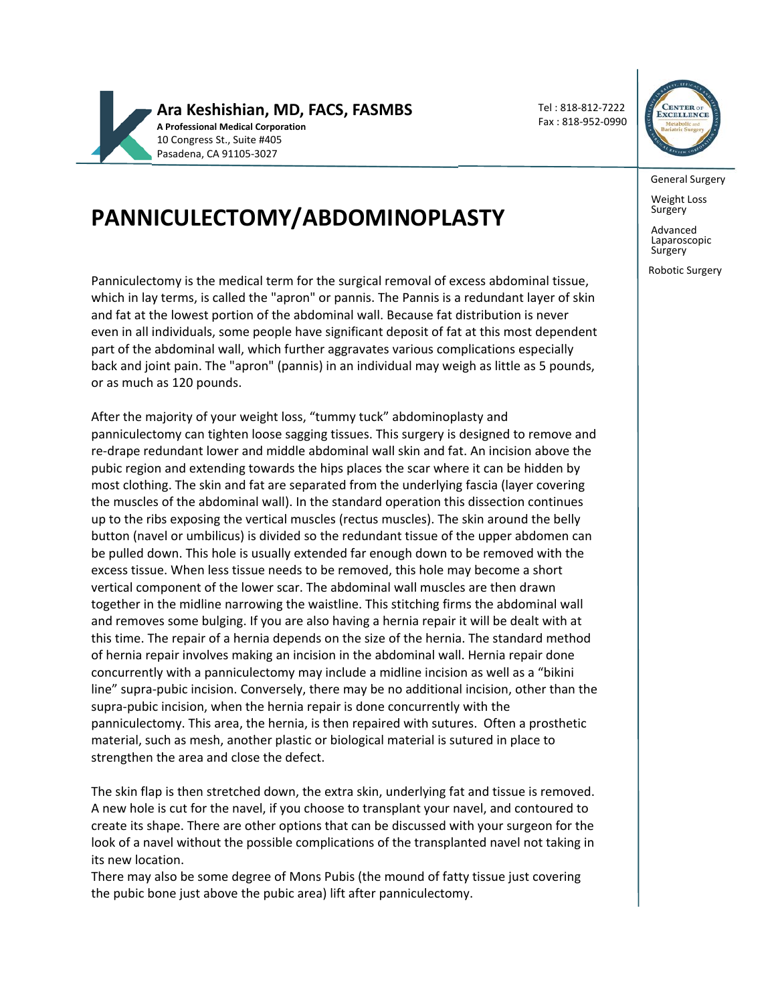

Tel : 818‐812‐7222 Fax : 818‐952‐0990



General Surgery

Weight Loss<br>Surgery

Advanced Laparoscopic **Surgery** 

Robotic Surgery

# **PANNICULECTOMY/ABDOMINOPLASTY**

Panniculectomy is the medical term for the surgical removal of excess abdominal tissue, which in lay terms, is called the "apron" or pannis. The Pannis is a redundant layer of skin and fat at the lowest portion of the abdominal wall. Because fat distribution is never even in all individuals, some people have significant deposit of fat at this most dependent part of the abdominal wall, which further aggravates various complications especially back and joint pain. The "apron" (pannis) in an individual may weigh as little as 5 pounds, or as much as 120 pounds.

After the majority of your weight loss, "tummy tuck" abdominoplasty and panniculectomy can tighten loose sagging tissues. This surgery is designed to remove and re‐drape redundant lower and middle abdominal wall skin and fat. An incision above the pubic region and extending towards the hips places the scar where it can be hidden by most clothing. The skin and fat are separated from the underlying fascia (layer covering the muscles of the abdominal wall). In the standard operation this dissection continues up to the ribs exposing the vertical muscles (rectus muscles). The skin around the belly button (navel or umbilicus) is divided so the redundant tissue of the upper abdomen can be pulled down. This hole is usually extended far enough down to be removed with the excess tissue. When less tissue needs to be removed, this hole may become a short vertical component of the lower scar. The abdominal wall muscles are then drawn together in the midline narrowing the waistline. This stitching firms the abdominal wall and removes some bulging. If you are also having a hernia repair it will be dealt with at this time. The repair of a hernia depends on the size of the hernia. The standard method of hernia repair involves making an incision in the abdominal wall. Hernia repair done concurrently with a panniculectomy may include a midline incision as well as a "bikini line" supra‐pubic incision. Conversely, there may be no additional incision, other than the supra‐pubic incision, when the hernia repair is done concurrently with the panniculectomy. This area, the hernia, is then repaired with sutures. Often a prosthetic material, such as mesh, another plastic or biological material is sutured in place to strengthen the area and close the defect.

The skin flap is then stretched down, the extra skin, underlying fat and tissue is removed. A new hole is cut for the navel, if you choose to transplant your navel, and contoured to create its shape. There are other options that can be discussed with your surgeon for the look of a navel without the possible complications of the transplanted navel not taking in its new location.

There may also be some degree of Mons Pubis (the mound of fatty tissue just covering the pubic bone just above the pubic area) lift after panniculectomy.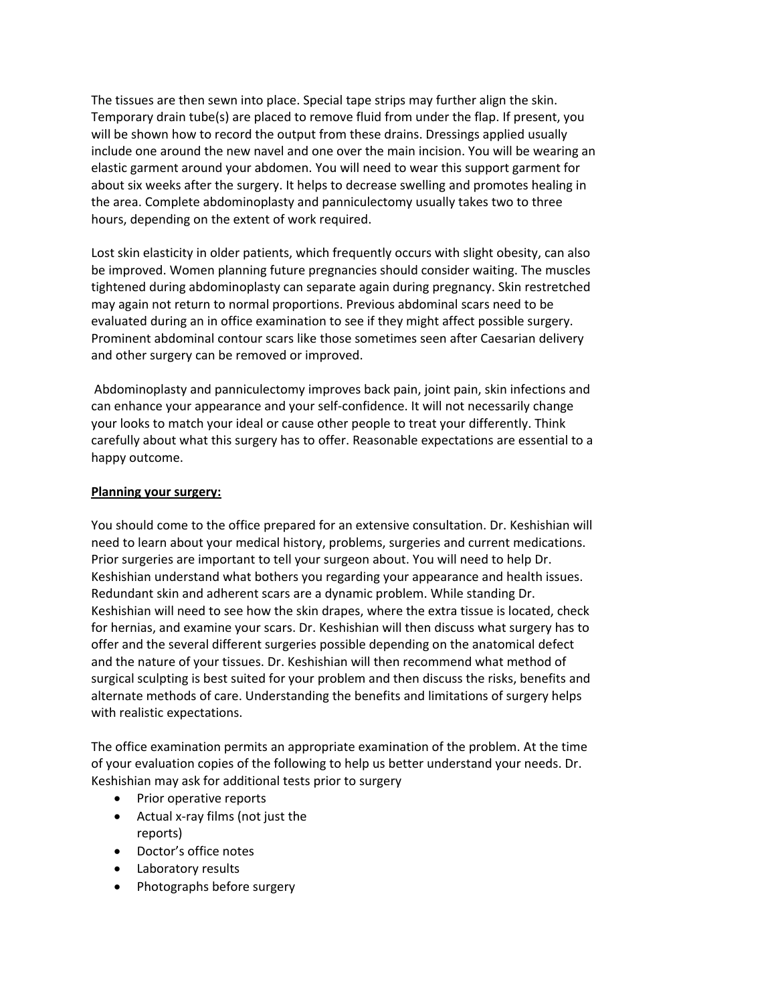The tissues are then sewn into place. Special tape strips may further align the skin. Temporary drain tube(s) are placed to remove fluid from under the flap. If present, you will be shown how to record the output from these drains. Dressings applied usually include one around the new navel and one over the main incision. You will be wearing an elastic garment around your abdomen. You will need to wear this support garment for about six weeks after the surgery. It helps to decrease swelling and promotes healing in the area. Complete abdominoplasty and panniculectomy usually takes two to three hours, depending on the extent of work required.

Lost skin elasticity in older patients, which frequently occurs with slight obesity, can also be improved. Women planning future pregnancies should consider waiting. The muscles tightened during abdominoplasty can separate again during pregnancy. Skin restretched may again not return to normal proportions. Previous abdominal scars need to be evaluated during an in office examination to see if they might affect possible surgery. Prominent abdominal contour scars like those sometimes seen after Caesarian delivery and other surgery can be removed or improved.

Abdominoplasty and panniculectomy improves back pain, joint pain, skin infections and can enhance your appearance and your self‐confidence. It will not necessarily change your looks to match your ideal or cause other people to treat your differently. Think carefully about what this surgery has to offer. Reasonable expectations are essential to a happy outcome.

#### **Planning your surgery:**

You should come to the office prepared for an extensive consultation. Dr. Keshishian will need to learn about your medical history, problems, surgeries and current medications. Prior surgeries are important to tell your surgeon about. You will need to help Dr. Keshishian understand what bothers you regarding your appearance and health issues. Redundant skin and adherent scars are a dynamic problem. While standing Dr. Keshishian will need to see how the skin drapes, where the extra tissue is located, check for hernias, and examine your scars. Dr. Keshishian will then discuss what surgery has to offer and the several different surgeries possible depending on the anatomical defect and the nature of your tissues. Dr. Keshishian will then recommend what method of surgical sculpting is best suited for your problem and then discuss the risks, benefits and alternate methods of care. Understanding the benefits and limitations of surgery helps with realistic expectations.

The office examination permits an appropriate examination of the problem. At the time of your evaluation copies of the following to help us better understand your needs. Dr. Keshishian may ask for additional tests prior to surgery

- Prior operative reports
- Actual x-ray films (not just the
- reports)
- Doctor's office notes
- Laboratory results
- Photographs before surgery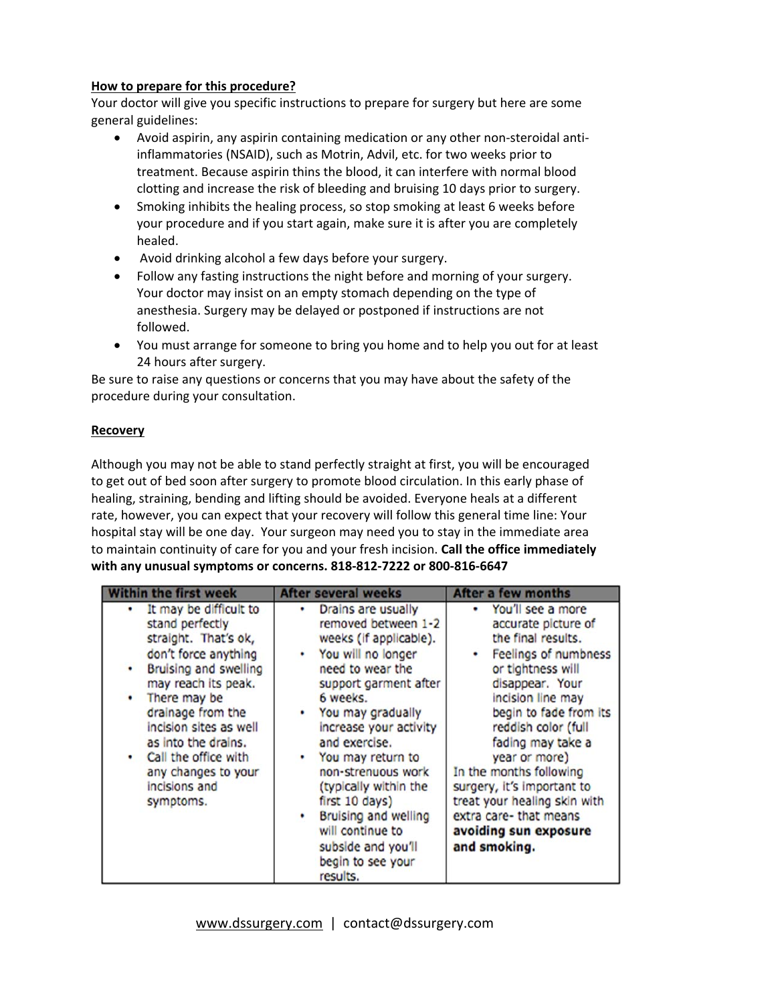## **How to prepare for this procedure?**

Your doctor will give you specific instructions to prepare for surgery but here are some general guidelines:

- Avoid aspirin, any aspirin containing medication or any other non‐steroidal anti‐ inflammatories (NSAID), such as Motrin, Advil, etc. for two weeks prior to treatment. Because aspirin thins the blood, it can interfere with normal blood clotting and increase the risk of bleeding and bruising 10 days prior to surgery.
- Smoking inhibits the healing process, so stop smoking at least 6 weeks before your procedure and if you start again, make sure it is after you are completely healed.
- Avoid drinking alcohol a few days before your surgery.
- Follow any fasting instructions the night before and morning of your surgery. Your doctor may insist on an empty stomach depending on the type of anesthesia. Surgery may be delayed or postponed if instructions are not followed.
- You must arrange for someone to bring you home and to help you out for at least 24 hours after surgery.

Be sure to raise any questions or concerns that you may have about the safety of the procedure during your consultation.

## **Recovery**

Although you may not be able to stand perfectly straight at first, you will be encouraged to get out of bed soon after surgery to promote blood circulation. In this early phase of healing, straining, bending and lifting should be avoided. Everyone heals at a different rate, however, you can expect that your recovery will follow this general time line: Your hospital stay will be one day. Your surgeon may need you to stay in the immediate area to maintain continuity of care for you and your fresh incision. **Call the office immediately with any unusual symptoms or concerns. 818‐812‐7222 or 800‐816‐6647**

| <b>Within the first week</b>                                                                                                                                                                                                                                                                                      | <b>After several weeks</b>                                                                                                                                                                                                                                                                                                                                                                                  | <b>After a few months</b>                                                                                                                                                                                                                                                                                                                                                                             |
|-------------------------------------------------------------------------------------------------------------------------------------------------------------------------------------------------------------------------------------------------------------------------------------------------------------------|-------------------------------------------------------------------------------------------------------------------------------------------------------------------------------------------------------------------------------------------------------------------------------------------------------------------------------------------------------------------------------------------------------------|-------------------------------------------------------------------------------------------------------------------------------------------------------------------------------------------------------------------------------------------------------------------------------------------------------------------------------------------------------------------------------------------------------|
| It may be difficult to<br>stand perfectly<br>straight. That's ok,<br>don't force anything<br>Bruising and swelling<br>may reach its peak.<br>There may be<br>٠<br>drainage from the<br>incision sites as well<br>as into the drains.<br>Call the office with<br>any changes to your<br>incisions and<br>symptoms. | Drains are usually<br>removed between 1-2<br>weeks (if applicable).<br>You will no longer<br>need to wear the<br>support garment after<br>6 weeks.<br>You may gradually<br>increase your activity<br>and exercise.<br>You may return to<br>non-strenuous work<br>(typically within the<br>first 10 days)<br>Bruising and welling<br>will continue to<br>subside and you'll<br>begin to see your<br>results. | You'll see a more<br>accurate picture of<br>the final results.<br>Feelings of numbness<br>or tightness will<br>disappear. Your<br>incision line may<br>begin to fade from its<br>reddish color (full<br>fading may take a<br>year or more)<br>In the months following<br>surgery, it's important to<br>treat your healing skin with<br>extra care-that means<br>avoiding sun exposure<br>and smoking. |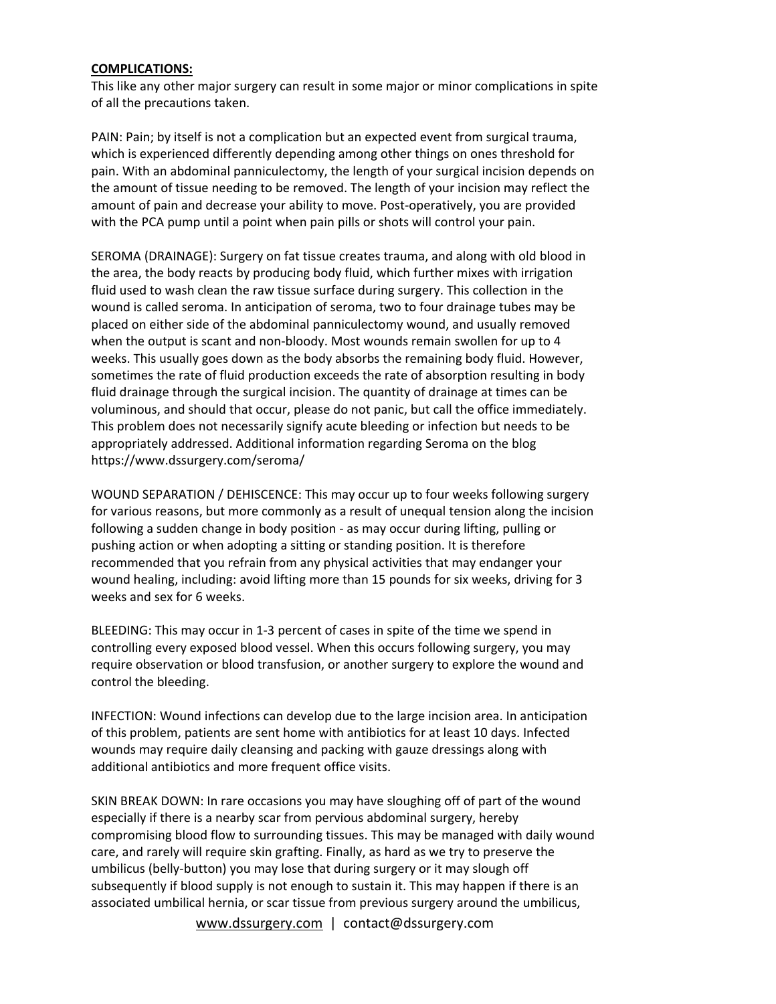#### **COMPLICATIONS:**

This like any other major surgery can result in some major or minor complications in spite of all the precautions taken.

PAIN: Pain; by itself is not a complication but an expected event from surgical trauma, which is experienced differently depending among other things on ones threshold for pain. With an abdominal panniculectomy, the length of your surgical incision depends on the amount of tissue needing to be removed. The length of your incision may reflect the amount of pain and decrease your ability to move. Post-operatively, you are provided with the PCA pump until a point when pain pills or shots will control your pain.

SEROMA (DRAINAGE): Surgery on fat tissue creates trauma, and along with old blood in the area, the body reacts by producing body fluid, which further mixes with irrigation fluid used to wash clean the raw tissue surface during surgery. This collection in the wound is called seroma. In anticipation of seroma, two to four drainage tubes may be placed on either side of the abdominal panniculectomy wound, and usually removed when the output is scant and non-bloody. Most wounds remain swollen for up to 4 weeks. This usually goes down as the body absorbs the remaining body fluid. However, sometimes the rate of fluid production exceeds the rate of absorption resulting in body fluid drainage through the surgical incision. The quantity of drainage at times can be voluminous, and should that occur, please do not panic, but call the office immediately. This problem does not necessarily signify acute bleeding or infection but needs to be appropriately addressed. Additional information regarding Seroma on the blog https://www.dssurgery.com/seroma/

WOUND SEPARATION / DEHISCENCE: This may occur up to four weeks following surgery for various reasons, but more commonly as a result of unequal tension along the incision following a sudden change in body position ‐ as may occur during lifting, pulling or pushing action or when adopting a sitting or standing position. It is therefore recommended that you refrain from any physical activities that may endanger your wound healing, including: avoid lifting more than 15 pounds for six weeks, driving for 3 weeks and sex for 6 weeks.

BLEEDING: This may occur in 1‐3 percent of cases in spite of the time we spend in controlling every exposed blood vessel. When this occurs following surgery, you may require observation or blood transfusion, or another surgery to explore the wound and control the bleeding.

INFECTION: Wound infections can develop due to the large incision area. In anticipation of this problem, patients are sent home with antibiotics for at least 10 days. Infected wounds may require daily cleansing and packing with gauze dressings along with additional antibiotics and more frequent office visits.

SKIN BREAK DOWN: In rare occasions you may have sloughing off of part of the wound especially if there is a nearby scar from pervious abdominal surgery, hereby compromising blood flow to surrounding tissues. This may be managed with daily wound care, and rarely will require skin grafting. Finally, as hard as we try to preserve the umbilicus (belly‐button) you may lose that during surgery or it may slough off subsequently if blood supply is not enough to sustain it. This may happen if there is an associated umbilical hernia, or scar tissue from previous surgery around the umbilicus,

www.dssurgery.com | contact@dssurgery.com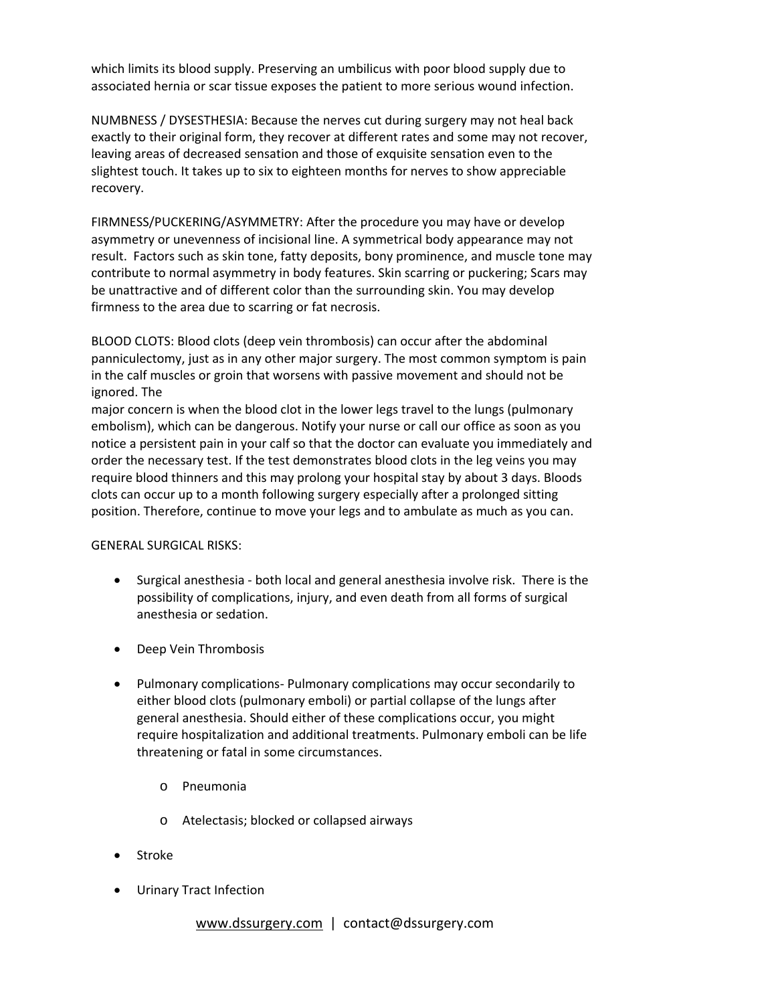which limits its blood supply. Preserving an umbilicus with poor blood supply due to associated hernia or scar tissue exposes the patient to more serious wound infection.

NUMBNESS / DYSESTHESIA: Because the nerves cut during surgery may not heal back exactly to their original form, they recover at different rates and some may not recover, leaving areas of decreased sensation and those of exquisite sensation even to the slightest touch. It takes up to six to eighteen months for nerves to show appreciable recovery.

FIRMNESS/PUCKERING/ASYMMETRY: After the procedure you may have or develop asymmetry or unevenness of incisional line. A symmetrical body appearance may not result. Factors such as skin tone, fatty deposits, bony prominence, and muscle tone may contribute to normal asymmetry in body features. Skin scarring or puckering; Scars may be unattractive and of different color than the surrounding skin. You may develop firmness to the area due to scarring or fat necrosis.

BLOOD CLOTS: Blood clots (deep vein thrombosis) can occur after the abdominal panniculectomy, just as in any other major surgery. The most common symptom is pain in the calf muscles or groin that worsens with passive movement and should not be ignored. The

major concern is when the blood clot in the lower legs travel to the lungs (pulmonary embolism), which can be dangerous. Notify your nurse or call our office as soon as you notice a persistent pain in your calf so that the doctor can evaluate you immediately and order the necessary test. If the test demonstrates blood clots in the leg veins you may require blood thinners and this may prolong your hospital stay by about 3 days. Bloods clots can occur up to a month following surgery especially after a prolonged sitting position. Therefore, continue to move your legs and to ambulate as much as you can.

## GENERAL SURGICAL RISKS:

- Surgical anesthesia ‐ both local and general anesthesia involve risk. There is the possibility of complications, injury, and even death from all forms of surgical anesthesia or sedation.
- Deep Vein Thrombosis
- Pulmonary complications- Pulmonary complications may occur secondarily to either blood clots (pulmonary emboli) or partial collapse of the lungs after general anesthesia. Should either of these complications occur, you might require hospitalization and additional treatments. Pulmonary emboli can be life threatening or fatal in some circumstances.
	- o Pneumonia
	- o Atelectasis; blocked or collapsed airways
- Stroke
- Urinary Tract Infection